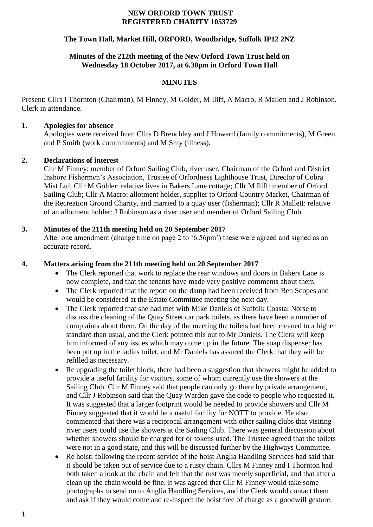#### **NEW ORFORD TOWN TRUST REGISTERED CHARITY 1053729**

## **The Town Hall, Market Hill, ORFORD, Woodbridge, Suffolk IP12 2NZ**

#### **Minutes of the 212th meeting of the New Orford Town Trust held on Wednesday 18 October 2017, at 6.30pm in Orford Town Hall**

#### **MINUTES**

Present: Cllrs I Thornton (Chairman), M Finney, M Golder, M Iliff, A Macro, R Mallett and J Robinson. Clerk in attendance.

#### **1. Apologies for absence**

Apologies were received from Cllrs D Brenchley and J Howard (family commitments), M Green and P Smith (work commitments) and M Smy (illness).

#### **2. Declarations of interest**

Cllr M Finney: member of Orford Sailing Club, river user, Chairman of the Orford and District Inshore Fishermen's Association, Trustee of Orfordness Lighthouse Trust, Director of Cobra Mist Ltd; Cllr M Golder: relative lives in Bakers Lane cottage; Cllr M Iliff: member of Orford Sailing Club; Cllr A Macro: allotment holder, supplier to Orford Country Market, Chairman of the Recreation Ground Charity, and married to a quay user (fisherman); Cllr R Mallett: relative of an allotment holder: J Robinson as a river user and member of Orford Sailing Club.

#### **3. Minutes of the 211th meeting held on 20 September 2017**

After one amendment (change time on page 2 to '6.56pm') these were agreed and signed as an accurate record.

#### **4. Matters arising from the 211th meeting held on 20 September 2017**

- The Clerk reported that work to replace the rear windows and doors in Bakers Lane is now complete, and that the tenants have made very positive comments about them.
- The Clerk reported that the report on the damp had been received from Ben Scopes and would be considered at the Estate Committee meeting the next day.
- The Clerk reported that she had met with Mike Daniels of Suffolk Coastal Norse to discuss the cleaning of the Quay Street car park toilets, as there have been a number of complaints about them. On the day of the meeting the toilets had been cleaned to a higher standard than usual, and the Clerk pointed this out to Mr Daniels. The Clerk will keep him informed of any issues which may come up in the future. The soap dispenser has been put up in the ladies toilet, and Mr Daniels has assured the Clerk that they will be refilled as necessary.
- Re upgrading the toilet block, there had been a suggestion that showers might be added to provide a useful facility for visitors, some of whom currently use the showers at the Sailing Club. Cllr M Finney said that people can only go there by private arrangement, and Cllr J Robinson said that the Quay Warden gave the code to people who requested it. It was suggested that a larger footprint would be needed to provide showers and Cllr M Finney suggested that it would be a useful facility for NOTT to provide. He also commented that there was a reciprocal arrangement with other sailing clubs that visiting river users could use the showers at the Sailing Club. There was general discussion about whether showers should be charged for or tokens used. The Trustee agreed that the toilets were not in a good state, and this will be discussed further by the Highways Committee.
- Re hoist: following the recent service of the hoist Anglia Handling Services had said that it should be taken out of service due to a rusty chain. Cllrs M Finney and I Thornton had both taken a look at the chain and felt that the rust was merely superficial, and that after a clean up the chain would be fine. It was agreed that Cllr M Finney would take some photographs to send on to Anglia Handling Services, and the Clerk would contact them and ask if they would come and re-inspect the hoist free of charge as a goodwill gesture.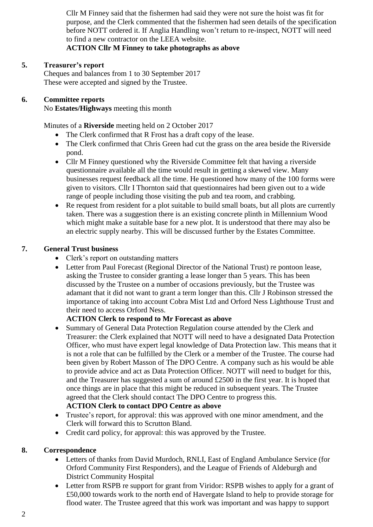Cllr M Finney said that the fishermen had said they were not sure the hoist was fit for purpose, and the Clerk commented that the fishermen had seen details of the specification before NOTT ordered it. If Anglia Handling won't return to re-inspect, NOTT will need to find a new contractor on the LEEA website.

# **ACTION Cllr M Finney to take photographs as above**

## **5. Treasurer's report**

Cheques and balances from 1 to 30 September 2017 These were accepted and signed by the Trustee.

## **6. Committee reports**

No **Estates/Highways** meeting this month

Minutes of a **Riverside** meeting held on 2 October 2017

- The Clerk confirmed that R Frost has a draft copy of the lease.
- The Clerk confirmed that Chris Green had cut the grass on the area beside the Riverside pond.
- Cllr M Finney questioned why the Riverside Committee felt that having a riverside questionnaire available all the time would result in getting a skewed view. Many businesses request feedback all the time. He questioned how many of the 100 forms were given to visitors. Cllr I Thornton said that questionnaires had been given out to a wide range of people including those visiting the pub and tea room, and crabbing.
- Re request from resident for a plot suitable to build small boats, but all plots are currently taken. There was a suggestion there is an existing concrete plinth in Millennium Wood which might make a suitable base for a new plot. It is understood that there may also be an electric supply nearby. This will be discussed further by the Estates Committee.

## **7. General Trust business**

- Clerk's report on outstanding matters
- Letter from Paul Forecast (Regional Director of the National Trust) re pontoon lease, asking the Trustee to consider granting a lease longer than 5 years. This has been discussed by the Trustee on a number of occasions previously, but the Trustee was adamant that it did not want to grant a term longer than this. Cllr J Robinson stressed the importance of taking into account Cobra Mist Ltd and Orford Ness Lighthouse Trust and their need to access Orford Ness.

## **ACTION Clerk to respond to Mr Forecast as above**

 Summary of General Data Protection Regulation course attended by the Clerk and Treasurer: the Clerk explained that NOTT will need to have a designated Data Protection Officer, who must have expert legal knowledge of Data Protection law. This means that it is not a role that can be fulfilled by the Clerk or a member of the Trustee. The course had been given by Robert Masson of The DPO Centre. A company such as his would be able to provide advice and act as Data Protection Officer. NOTT will need to budget for this, and the Treasurer has suggested a sum of around £2500 in the first year. It is hoped that once things are in place that this might be reduced in subsequent years. The Trustee agreed that the Clerk should contact The DPO Centre to progress this.

## **ACTION Clerk to contact DPO Centre as above**

- Trustee's report, for approval: this was approved with one minor amendment, and the Clerk will forward this to Scrutton Bland.
- Credit card policy, for approval: this was approved by the Trustee.

## **8. Correspondence**

- Letters of thanks from David Murdoch, RNLI, East of England Ambulance Service (for Orford Community First Responders), and the League of Friends of Aldeburgh and District Community Hospital
- Letter from RSPB re support for grant from Viridor: RSPB wishes to apply for a grant of £50,000 towards work to the north end of Havergate Island to help to provide storage for flood water. The Trustee agreed that this work was important and was happy to support